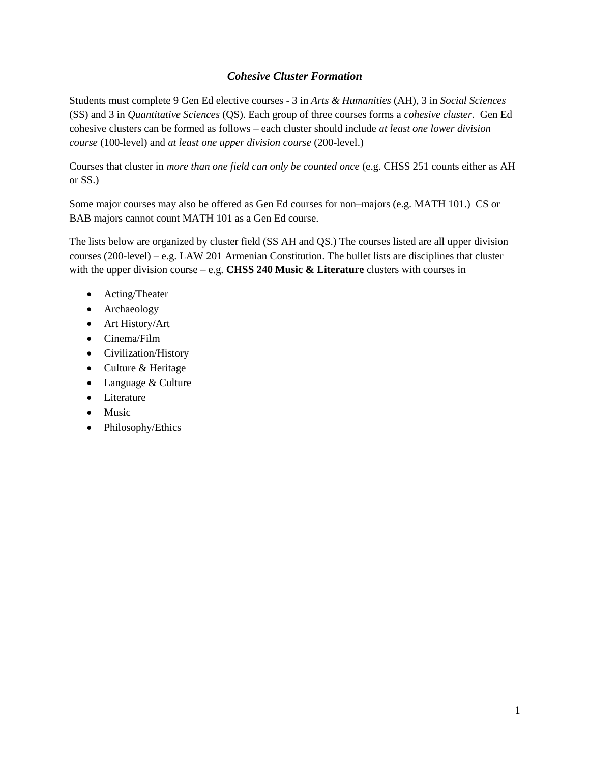# *Cohesive Cluster Formation*

Students must complete 9 Gen Ed elective courses - 3 in *Arts & Humanities* (AH), 3 in *Social Sciences* (SS) and 3 in *Quantitative Sciences* (QS). Each group of three courses forms a *cohesive cluster*. Gen Ed cohesive clusters can be formed as follows – each cluster should include *at least one lower division course* (100-level) and *at least one upper division course* (200-level.)

Courses that cluster in *more than one field can only be counted once* (e.g. CHSS 251 counts either as AH or SS.)

Some major courses may also be offered as Gen Ed courses for non–majors (e.g. MATH 101.) CS or BAB majors cannot count MATH 101 as a Gen Ed course.

The lists below are organized by cluster field (SS AH and QS.) The courses listed are all upper division courses (200-level) – e.g. LAW 201 Armenian Constitution. The bullet lists are disciplines that cluster with the upper division course – e.g. **CHSS 240 Music & Literature** clusters with courses in

- Acting/Theater
- Archaeology
- Art History/Art
- Cinema/Film
- Civilization/History
- Culture & Heritage
- Language & Culture
- Literature
- Music
- Philosophy/Ethics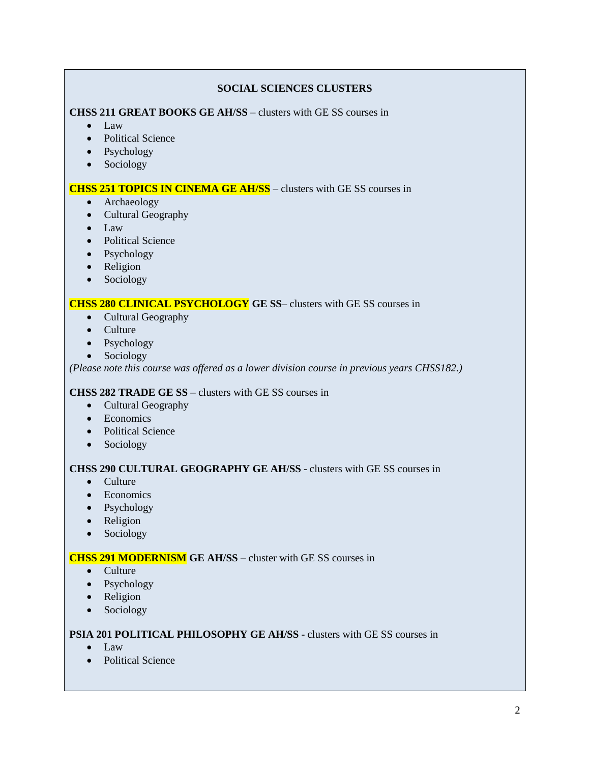### **SOCIAL SCIENCES CLUSTERS**

**CHSS 211 GREAT BOOKS GE AH/SS** – clusters with GE SS courses in

- $\bullet$  Law
- Political Science
- Psychology
- Sociology

### **CHSS 251 TOPICS IN CINEMA GE AH/SS** – clusters with GE SS courses in

- Archaeology
- Cultural Geography
- Law
- Political Science
- Psychology
- Religion
- Sociology

### **CHSS 280 CLINICAL PSYCHOLOGY GE SS**– clusters with GE SS courses in

- Cultural Geography
- Culture
- Psychology
- Sociology

*(Please note this course was offered as a lower division course in previous years CHSS182.)*

### **CHSS 282 TRADE GE SS** – clusters with GE SS courses in

- Cultural Geography
- Economics
- Political Science
- Sociology

### **CHSS 290 CULTURAL GEOGRAPHY GE AH/SS** - clusters with GE SS courses in

- Culture
- Economics
- Psychology
- Religion
- Sociology

### **CHSS 291 MODERNISM GE AH/SS –** cluster with GE SS courses in

- Culture
- Psychology
- Religion
- Sociology

### **PSIA 201 POLITICAL PHILOSOPHY GE AH/SS** - clusters with GE SS courses in

- Law
- Political Science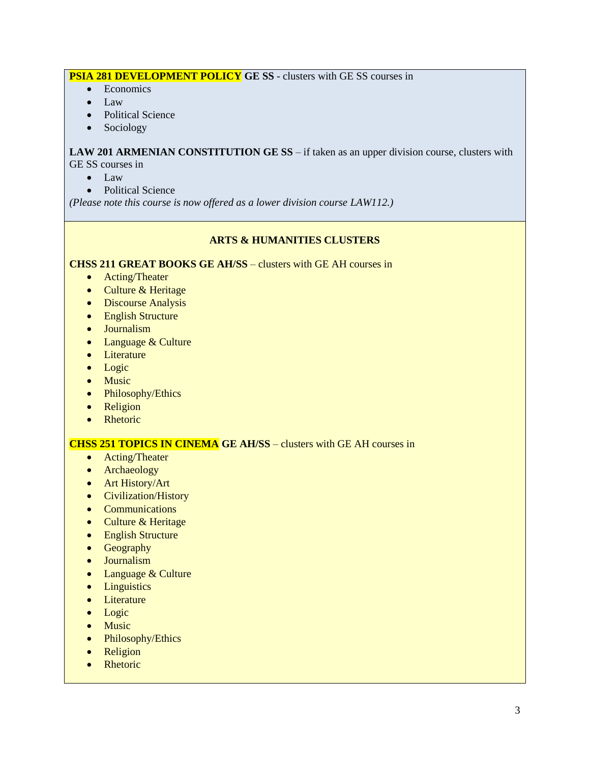# **PSIA 281 DEVELOPMENT POLICY GE SS** - clusters with GE SS courses in

- Economics
- Law
- Political Science
- Sociology

**LAW 201 ARMENIAN CONSTITUTION GE SS** – if taken as an upper division course, clusters with GE SS courses in

- $\bullet$  Law
- Political Science

*(Please note this course is now offered as a lower division course LAW112.)*

### **ARTS & HUMANITIES CLUSTERS**

**CHSS 211 GREAT BOOKS GE AH/SS** – clusters with GE AH courses in

- Acting/Theater
- Culture & Heritage
- Discourse Analysis
- English Structure
- Journalism
- Language & Culture
- Literature
- Logic
- Music
- Philosophy/Ethics
- Religion
- Rhetoric

### **CHSS 251 TOPICS IN CINEMA GE AH/SS** – clusters with GE AH courses in

- Acting/Theater
- Archaeology
- Art History/Art
- Civilization/History
- Communications
- Culture & Heritage
- English Structure
- Geography
- Journalism
- Language & Culture
- Linguistics
- Literature
- Logic
- Music
- Philosophy/Ethics
- Religion
- Rhetoric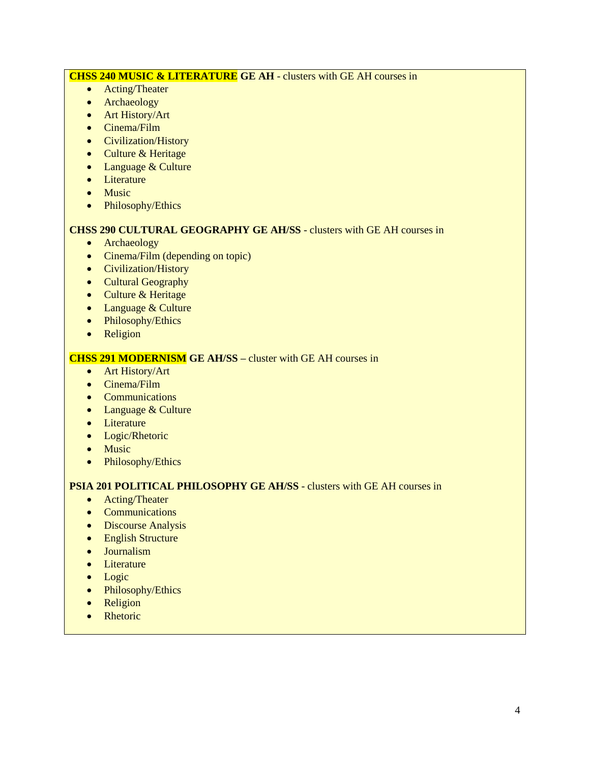# **CHSS 240 MUSIC & LITERATURE GE AH** - clusters with GE AH courses in

- Acting/Theater
- Archaeology
- Art History/Art
- Cinema/Film
- Civilization/History
- Culture & Heritage
- Language & Culture
- Literature
- Music
- Philosophy/Ethics

# **CHSS 290 CULTURAL GEOGRAPHY GE AH/SS** - clusters with GE AH courses in

- Archaeology
- Cinema/Film (depending on topic)
- Civilization/History
- Cultural Geography
- Culture & Heritage
- Language & Culture
- Philosophy/Ethics
- Religion

# **CHSS 291 MODERNISM GE AH/SS –** cluster with GE AH courses in

- Art History/Art
- Cinema/Film
- Communications
- Language & Culture
- Literature
- Logic/Rhetoric
- Music
- Philosophy/Ethics

# **PSIA 201 POLITICAL PHILOSOPHY GE AH/SS** - clusters with GE AH courses in

- Acting/Theater
- Communications
- Discourse Analysis
- English Structure
- Journalism
- Literature
- Logic
- Philosophy/Ethics
- Religion
- Rhetoric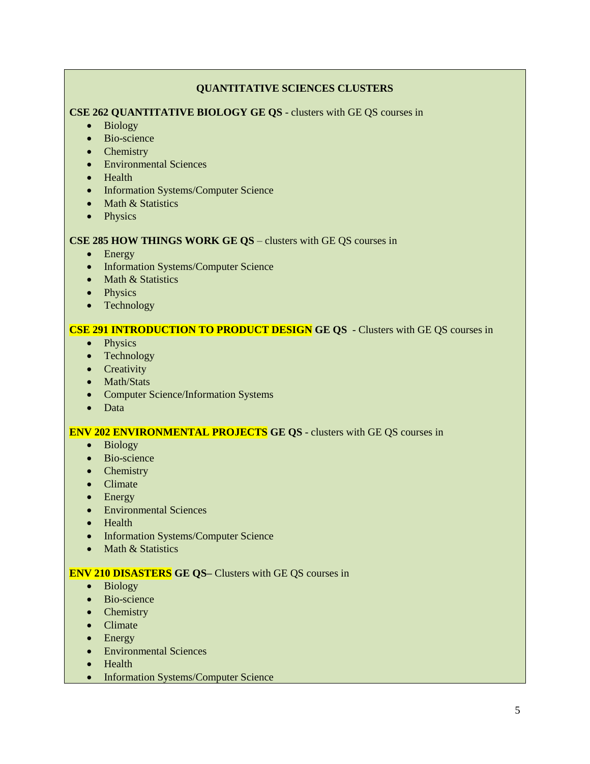## **QUANTITATIVE SCIENCES CLUSTERS**

### **CSE 262 QUANTITATIVE BIOLOGY GE QS** - clusters with GE QS courses in

- Biology
- Bio-science
- Chemistry
- Environmental Sciences
- Health
- Information Systems/Computer Science
- Math & Statistics
- Physics

### **CSE 285 HOW THINGS WORK GE QS** – clusters with GE QS courses in

- Energy
- Information Systems/Computer Science
- Math & Statistics
- Physics
- Technology

### **CSE 291 INTRODUCTION TO PRODUCT DESIGN GE QS** - Clusters with GE QS courses in

- Physics
- Technology
- Creativity
- Math/Stats
- Computer Science/Information Systems
- Data

### **ENV 202 ENVIRONMENTAL PROJECTS GE QS** - clusters with GE QS courses in

- Biology
- Bio-science
- Chemistry
- Climate
- Energy
- Environmental Sciences
- Health
- Information Systems/Computer Science
- $\bullet$  Math & Statistics

### **ENV 210 DISASTERS GE QS–** Clusters with GE QS courses in

- Biology
- Bio-science
- Chemistry
- Climate
- Energy
- Environmental Sciences
- Health
- Information Systems/Computer Science